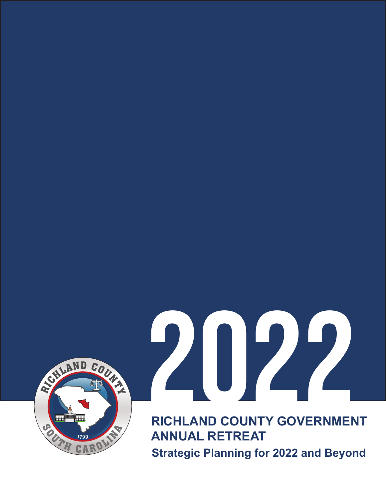

## 2022

**RICHLAND COUNTY GOVERNMENT ANNUAL RETREAT Strategic Planning for 2022 and Beyond**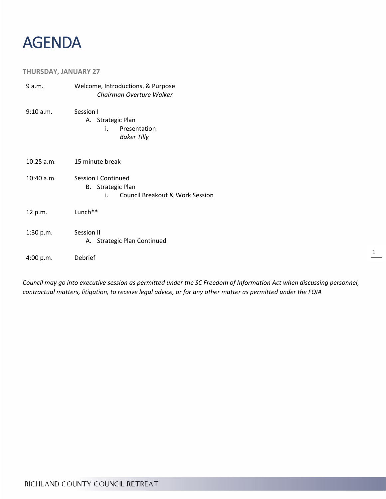

## **THURSDAY, JANUARY 27**

| 9 a.m.       | Welcome, Introductions, & Purpose<br>Chairman Overture Walker                            |
|--------------|------------------------------------------------------------------------------------------|
| 9:10 a.m.    | Session I<br>A. Strategic Plan<br>Presentation<br>i.<br><b>Baker Tilly</b>               |
| $10:25$ a.m. | 15 minute break                                                                          |
| $10:40$ a.m. | Session I Continued<br><b>B.</b> Strategic Plan<br>Council Breakout & Work Session<br>i. |
| 12 p.m.      | Lunch**                                                                                  |
| 1:30 p.m.    | Session II<br>A. Strategic Plan Continued                                                |
| 4:00 p.m.    | Debrief                                                                                  |

*Council may go into executive session as permitted under the SC Freedom of Information Act when discussing personnel, contractual matters, litigation, to receive legal advice, or for any other matter as permitted under the FOIA*